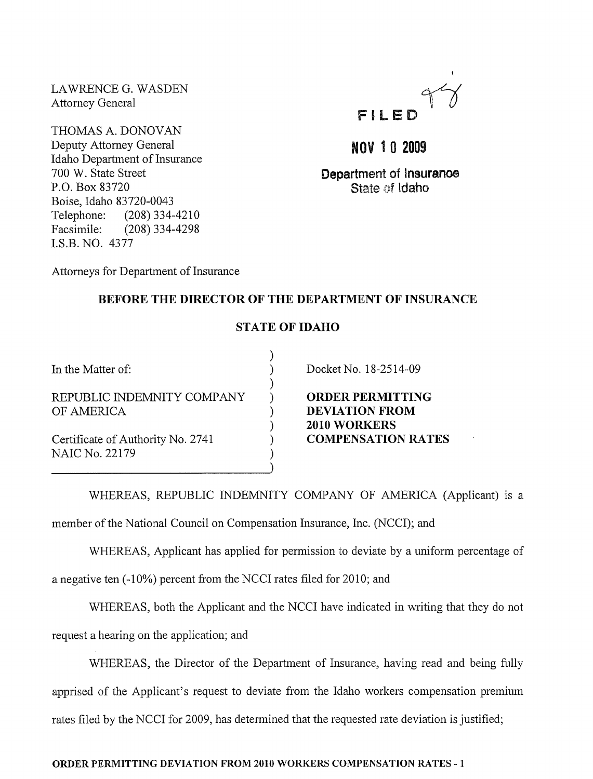LAWRENCE G. WASDEN Attorney General

THOMAS A. DONOVAN Deputy Attorney General Idaho Department of Insurance 700 W. State Street P.O. Box 83720 Boise, Idaho 83720-0043 Telephone: (208) 334-4210 Facsimile: (208) 334-4298 LS.B. NO. 4377



NOV 1 0 2009

Department of Insuranoe State of Idaho

Attorneys for Department of Insurance

# BEFORE THE DIRECTOR OF THE DEPARTMENT OF INSURANCE

## STATE OF IDAHO

) ) ) ) ) ) ) ) )

In the Matter of:

REPUBLIC INDEMNITY COMPANY OF AMERICA

Certificate of Authority No. 2741 NAIC No. 22179

Docket No. 18-2514-09

ORDER PERMITTING DEVIATION FROM 2010 WORKERS COMPENSATION RATES

WHEREAS, REPUBLIC INDEMNITY COMPANY OF AMERICA (Applicant) is a

member of the National Council on Compensation Insurance, Inc. (NCCI); and

WHEREAS, Applicant has applied for permission to deviate by a uniform percentage of

a negative ten (-10%) percent from the NCCI rates filed for 2010; and

WHEREAS, both the Applicant and the NCCI have indicated in writing that they do not

request a hearing on the application; and

WHEREAS, the Director of the Department of Insurance, having read and being fully apprised of the Applicant's request to deviate from the Idaho workers compensation premium rates filed by the NCCI for 2009, has determined that the requested rate deviation is justified;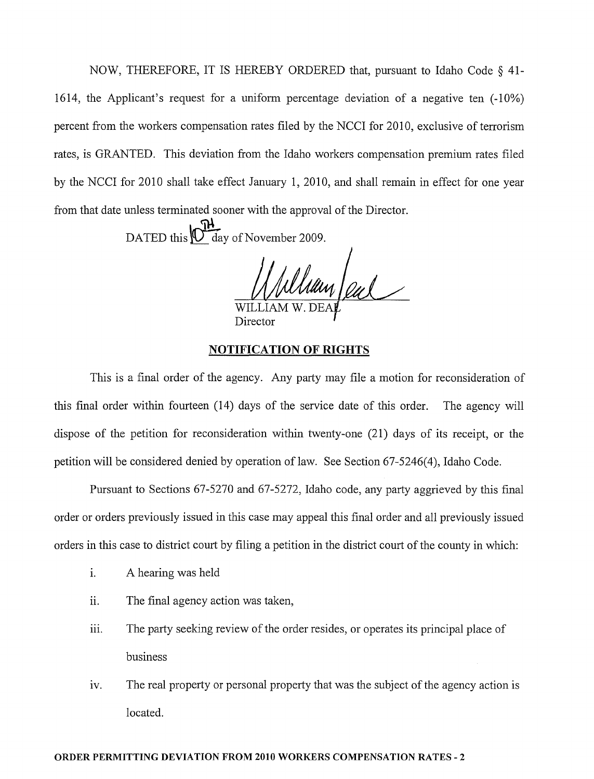NOW, THEREFORE, IT IS HEREBY ORDERED that, pursuant to Idaho Code § 41- 1614, the Applicant's request for a uniform percentage deviation of a negative ten  $(-10\%)$ percent from the workers compensation rates filed by the NCCI for 2010, exclusive of terrorism rates, is GRANTED. This deviation from the Idaho workers compensation premium rates filed by the NCCI for 2010 shall take effect January 1, 2010, and shall remain in effect for one year from that date unless terminated sooner with the approval of the Director.

DATED this  $\mathbb{O}^{\mathbb{H}}$  day of November 2009.

William few

Director

### **NOTIFICATION OF RIGHTS**

This is a final order of the agency. Any party may file a motion for reconsideration of this final order within fourteen (14) days of the service date of this order. The agency will dispose of the petition for reconsideration within twenty-one (21) days of its receipt, or the petition will be considered denied by operation of law. See Section 67-5246(4), Idaho Code.

Pursuant to Sections 67-5270 and 67-5272, Idaho code, any party aggrieved by this final order or orders previously issued in this case may appeal this final order and all previously issued orders in this case to district court by filing a petition in the district court of the county in which:

- 1. A hearing was held
- ii. The final agency action was taken,
- iii. The party seeking review of the order resides, or operates its principal place of business
- iv. The real property or personal property that was the subject of the agency action is located.

#### ORDER PERMITTING DEVIATION FROM 2010 WORKERS COMPENSATION RATES - 2